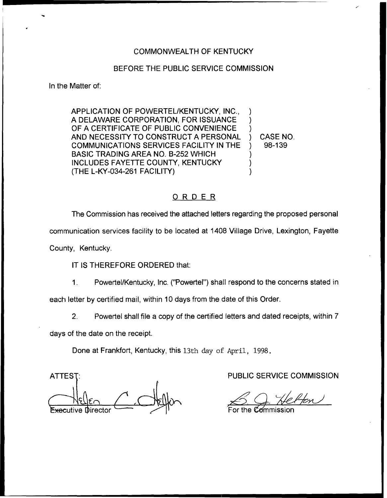## COMMONWEALTH OF KENTUCKY

## BEFORE THE PUBLIC SERVICE COMMISSION

In the Matter of:

APPLICATION OF POWERTEL/KENTUCKY, INC., A DELAWARE CORPORATION, FOR ISSUANCE OF A CERTIFICATE OF PUBLIC CONVENIENCE AND NECESSITY TO CONSTRUCT A PERSONAL COMMUNICATIONS SERVICES FACILITY IN THE BASIC TRADING AREA NO. B-252 WHICH INCLUDES FAYETTE COUNTY, KENTUCKY (THE L-KY-034-261 FACILITY) ) ) ) ) CASE NO. ) 98-139 ) ) )

## ORDER

The Commission has received the attached letters regarding the proposed personal communication services facility to be located at 1408 Village Drive, Lexington, Fayette County, Kentucky.

IT IS THEREFORE ORDERED that:

 $1<sub>1</sub>$ Powertel/Kentucky, Inc. ("Powertel") shall respond to the concerns stated in

each letter by certified mail, within 10 days from the date of this Order.

 $2<sub>1</sub>$ Powertel shall file a copy of the certified letters and dated receipts, within 7

days of the date on the receipt.

Done at Frankfort, Kentucky, this 13th day of April, 1998.

ATTEST: Executive Director

PUBLIC SERVICE COMMISSION

For the  ${\mathcal{C}}$ ommissio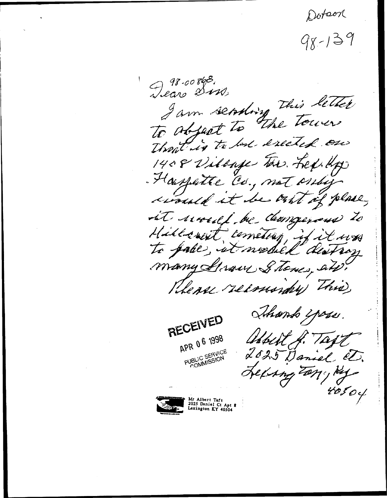Dotson

 $98 - 139$ 

Dear 2008. I am seconting this letter Throat is to last exected one 1408 Village Ten. Lex. Hp Housplitte Co., not criting would it be out of place, it would be democrand to Hillcourt cometery, if it was to pake, it modiel distroy many Straw Stones, and. Khense reconordry This, Shando i poss. RECEIVED APR 06 1998 Wheelt H. Tayl PUBLIC SERVICE<br>PUBLIC SERVICE 2025 Daniel et. Lexing Tany ky 40504



Mr Albert Taft<br>2025 Daniel Ct Apt<br>Lexington KY 40504